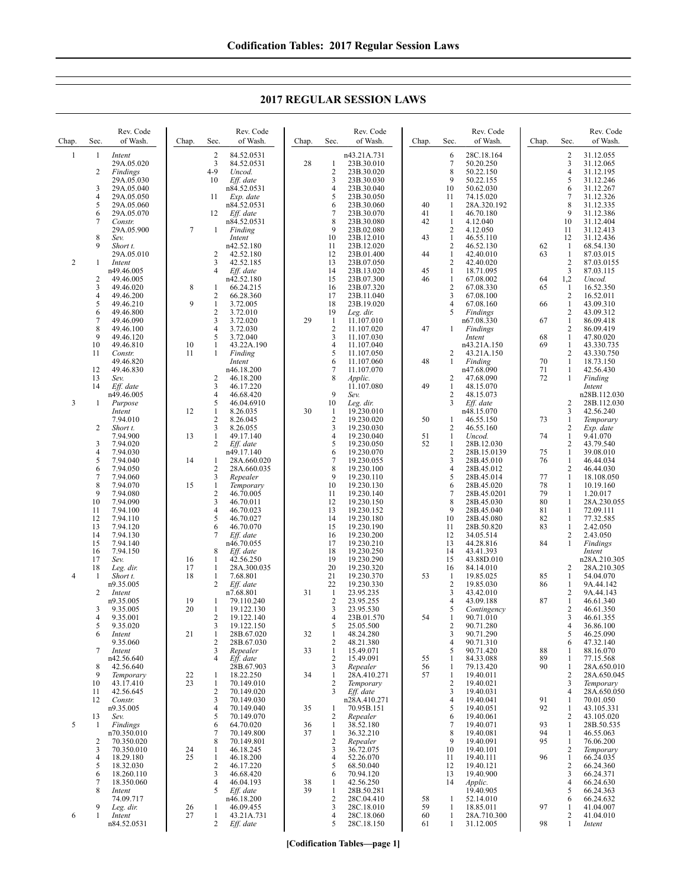**2017 REGULAR SESSION LAWS**

| Chap.          | Sec.     | Rev. Code<br>of Wash.    | Chap.    | Sec.                | Rev. Code<br>of Wash.    | Chap.    | Sec.                           | Rev. Code<br>of Wash.      | Chap.    | Sec.                           | Rev. Code<br>of Wash.     | Chap.    | Sec.                | Rev. Code<br>of Wash.       |
|----------------|----------|--------------------------|----------|---------------------|--------------------------|----------|--------------------------------|----------------------------|----------|--------------------------------|---------------------------|----------|---------------------|-----------------------------|
| $\mathbf{1}$   | -1       | Intent<br>29A.05.020     |          | $\overline{2}$<br>3 | 84.52.0531<br>84.52.0531 | 28       | 1                              | n43.21A.731<br>23B.30.010  |          | 6<br>7                         | 28C.18.164<br>50.20.250   |          | 2<br>3              | 31.12.055<br>31.12.065      |
|                | 2        | Findings                 |          | 4-9                 | Uncod.                   |          | $\overline{2}$                 | 23B.30.020                 |          | 8                              | 50.22.150                 |          | 4                   | 31.12.195                   |
|                | 3        | 29A.05.030<br>29A.05.040 |          | 10                  | Eff. date<br>n84.52.0531 |          | 3<br>4                         | 23B.30.030<br>23B.30.040   |          | 9<br>10                        | 50.22.155<br>50.62.030    |          | 5<br>6              | 31.12.246<br>31.12.267      |
|                | 4        | 29A.05.050               |          | 11                  | Exp. date                |          | 5                              | 23B.30.050                 |          | 11                             | 74.15.020                 |          | 7                   | 31.12.326                   |
|                | 5<br>6   | 29A.05.060<br>29A.05.070 |          | 12                  | n84.52.0531<br>Eff. date |          | 6<br>7                         | 23B.30.060<br>23B.30.070   | 40<br>41 | $\mathbf{1}$<br>$\mathbf{1}$   | 28A.320.192<br>46.70.180  |          | 8<br>9              | 31.12.335<br>31.12.386      |
|                | 7        | Constr.                  |          |                     | n84.52.0531              |          | 8                              | 23B.30.080                 | 42       | $\mathbf{1}$                   | 4.12.040                  |          | 10                  | 31.12.404                   |
|                |          | 29A.05.900               | $\tau$   | 1                   | Finding                  |          | 9                              | 23B.02.080                 |          | $\overline{2}$                 | 4.12.050                  |          | 11                  | 31.12.413                   |
|                | 8<br>9   | Sev.<br>Short t.         |          |                     | Intent<br>n42.52.180     |          | 10<br>11                       | 23B.12.010<br>23B.12.020   | 43       | $\mathbf{1}$<br>$\overline{2}$ | 46.55.110<br>46.52.130    | 62       | 12<br>1             | 31.12.436<br>68.54.130      |
|                |          | 29A.05.010               |          | 2                   | 42.52.180                |          | 12                             | 23B.01.400                 | 44       | $\mathbf{1}$                   | 42.40.010                 | 63       | 1                   | 87.03.015                   |
| $\overline{c}$ | 1        | Intent<br>n49.46.005     |          | 3<br>4              | 42.52.185<br>Eff. date   |          | 13<br>14                       | 23B.07.050<br>23B.13.020   | 45       | $\overline{2}$<br>-1           | 42.40.020<br>18.71.095    |          | $\overline{2}$<br>3 | 87.03.0155<br>87.03.115     |
|                | 2        | 49.46.005                |          |                     | n42.52.180               |          | 15                             | 23B.07.300                 | 46       | $\mathbf{1}$                   | 67.08.002                 | 64       | 1,2                 | Uncod.                      |
|                | 3<br>4   | 49.46.020<br>49.46.200   | 8        | 1<br>$\overline{2}$ | 66.24.215<br>66.28.360   |          | 16<br>17                       | 23B.07.320<br>23B.11.040   |          | $\overline{2}$<br>3            | 67.08.330<br>67.08.100    | 65       | 1<br>2              | 16.52.350<br>16.52.011      |
|                | 5        | 49.46.210                | 9        | 1                   | 3.72.005                 |          | 18                             | 23B.19.020                 |          | 4                              | 67.08.160                 | 66       | 1                   | 43.09.310                   |
|                | 6        | 49.46.800                |          | $\overline{c}$      | 3.72.010                 |          | 19                             | Leg. dir.                  |          | 5                              | Findings                  |          | $\overline{c}$      | 43.09.312                   |
|                | 7<br>8   | 49.46.090<br>49.46.100   |          | 3<br>$\overline{4}$ | 3.72.020<br>3.72.030     | 29       | $\mathbf{1}$<br>$\overline{2}$ | 11.107.010<br>11.107.020   | 47       | 1                              | n67.08.330<br>Findings    | 67       | 1<br>$\overline{c}$ | 86.09.418<br>86.09.419      |
|                | 9<br>10  | 49.46.120<br>49.46.810   | 10       | 5<br>1              | 3.72.040                 |          | 3<br>4                         | 11.107.030                 |          |                                | Intent                    | 68<br>69 | 1<br>1              | 47.80.020<br>43.330.735     |
|                | 11       | Constr.                  | 11       | 1                   | 43.22A.190<br>Finding    |          | 5                              | 11.107.040<br>11.107.050   |          | 2                              | n43.21A.150<br>43.21A.150 |          | 2                   | 43.330.750                  |
|                |          | 49.46.820                |          |                     | Intent                   |          | 6                              | 11.107.060                 | 48       | $\mathbf{1}$                   | Finding                   | 70       | 1                   | 18.73.150                   |
|                | 12<br>13 | 49.46.830<br>Sev.        |          | 2                   | n46.18.200<br>46.18.200  |          | 7<br>8                         | 11.107.070<br>Applic.      |          | $\overline{2}$                 | n47.68.090<br>47.68.090   | 71<br>72 | 1<br>1              | 42.56.430<br>Finding        |
|                | 14       | Eff. date                |          | 3                   | 46.17.220                |          |                                | 11.107.080                 | 49       | $\mathbf{1}$                   | 48.15.070                 |          |                     | Intent                      |
| 3              | 1        | n49.46.005<br>Purpose    |          | 4<br>5              | 46.68.420<br>46.04.6910  |          | 9<br>10                        | Sev.<br>Leg. dir.          |          | $\overline{2}$<br>3            | 48.15.073<br>Eff. date    |          | 2                   | n28B.112.030<br>28B.112.030 |
|                |          | Intent                   | 12       | 1                   | 8.26.035                 | 30       | -1                             | 19.230.010                 |          |                                | n48.15.070                |          | 3                   | 42.56.240                   |
|                | 2        | 7.94.010<br>Short t.     |          | $\sqrt{2}$<br>3     | 8.26.045<br>8.26.055     |          | $\sqrt{2}$<br>3                | 19.230.020<br>19.230.030   | 50       | -1<br>2                        | 46.55.150<br>46.55.160    | 73       | 1<br>2              | Temporary<br>Exp. date      |
|                |          | 7.94.900                 | 13       | $\mathbf{1}$        | 49.17.140                |          | 4                              | 19.230.040                 | 51       | $\mathbf{1}$                   | Uncod.                    | 74       | 1                   | 9.41.070                    |
|                | 3<br>4   | 7.94.020<br>7.94.030     |          | $\overline{c}$      | Eff. date<br>n49.17.140  |          | 5<br>6                         | 19.230.050<br>19.230.070   | 52       | $\mathbf{1}$<br>$\overline{2}$ | 28B.12.030<br>28B.15.0139 | 75       | $\overline{c}$<br>1 | 43.79.540<br>39.08.010      |
|                | 5        | 7.94.040                 | 14       | -1                  | 28A.660.020              |          | 7                              | 19.230.055                 |          | 3                              | 28B.45.010                | 76       | 1                   | 46.44.034                   |
|                | 6<br>7   | 7.94.050<br>7.94.060     |          | $\overline{2}$<br>3 | 28A.660.035<br>Repealer  |          | 8<br>9                         | 19.230.100<br>19.230.110   |          | $\overline{4}$<br>5            | 28B.45.012<br>28B.45.014  | 77       | 2<br>1              | 46.44.030<br>18.108.050     |
|                | 8        | 7.94.070                 | 15       | 1                   | Temporary                |          | 10                             | 19.230.130                 |          | 6                              | 28B.45.020                | 78       | 1                   | 10.19.160                   |
|                | 9<br>10  | 7.94.080<br>7.94.090     |          | $\overline{2}$<br>3 | 46.70.005<br>46.70.011   |          | 11<br>12                       | 19.230.140<br>19.230.150   |          | $\overline{7}$<br>8            | 28B.45.0201<br>28B.45.030 | 79<br>80 | 1<br>1              | 1.20.017<br>28A.230.055     |
|                | 11       | 7.94.100                 |          | $\overline{4}$      | 46.70.023                |          | 13                             | 19.230.152                 |          | 9                              | 28B.45.040                | 81       | 1                   | 72.09.111                   |
|                | 12<br>13 | 7.94.110<br>7.94.120     |          | 5<br>6              | 46.70.027<br>46.70.070   |          | 14<br>15                       | 19.230.180<br>19.230.190   |          | 10<br>11                       | 28B.45.080<br>28B.50.820  | 82<br>83 | 1<br>1              | 77.32.585<br>2.42.050       |
|                | 14       | 7.94.130                 |          | 7                   | Eff. date                |          | 16                             | 19.230.200                 |          | 12                             | 34.05.514                 |          | 2                   | 2.43.050                    |
|                | 15<br>16 | 7.94.140<br>7.94.150     |          | 8                   | n46.70.055               |          | 17<br>18                       | 19.230.210                 |          | 13<br>14                       | 44.28.816                 | 84       | 1                   | Findings                    |
|                | 17       | Sev.                     | 16       | 1                   | Eff. date<br>42.56.250   |          | 19                             | 19.230.250<br>19.230.290   |          | 15                             | 43.41.393<br>43.88D.010   |          |                     | Intent<br>n28A.210.305      |
|                | 18       | Leg. dir.                | 17       | 1                   | 28A.300.035              |          | 20                             | 19.230.320                 |          | 16                             | 84.14.010                 |          | 2                   | 28A.210.305                 |
| 4              | -1       | Short t.<br>n9.35.005    | 18       | 1<br>2              | 7.68.801<br>Eff. date    |          | 21<br>22                       | 19.230.370<br>19.230.330   | 53       | -1<br>$\overline{2}$           | 19.85.025<br>19.85.030    | 85<br>86 | 1<br>1              | 54.04.070<br>9A.44.142      |
|                | 2        | Intent                   |          |                     | n7.68.801                | 31       | -1                             | 23.95.235                  |          | 3                              | 43.42.010                 |          | 2                   | 9A.44.143                   |
|                | 3        | n9.35.005<br>9.35.005    | 19<br>20 | 1<br>1              | 79.110.240<br>19.122.130 |          | $\overline{2}$<br>3            | 23.95.255<br>23.95.530     |          | $\overline{4}$<br>5            | 43.09.188<br>Contingency  | 87       | 1<br>$\overline{c}$ | 46.61.340<br>46.61.350      |
|                | 4        | 9.35.001                 |          | 2                   | 19.122.140               |          | 4                              | 23B.01.570                 | 54       |                                | 90.71.010                 |          | 3                   | 46.61.355                   |
|                | 5<br>6   | 9.35.020<br>Intent       | 21       | 3<br>1              | 19.122.150<br>28B.67.020 | 32       | 5<br>1                         | 25.05.500<br>48.24.280     |          | $\overline{c}$<br>3            | 90.71.280<br>90.71.290    |          | 4<br>5              | 36.86.100<br>46.25.090      |
|                |          | 9.35.060                 |          | $\overline{2}$      | 28B.67.030               |          | $\overline{2}$                 | 48.21.380                  |          | $\overline{4}$                 | 90.71.310                 |          | 6                   | 47.32.140                   |
|                | 7        | Intent<br>n42.56.640     |          | 3<br>4              | Repealer<br>Eff. date    | 33       | 1<br>$\overline{2}$            | 15.49.071<br>15.49.091     | 55       | 5<br>-1                        | 90.71.420<br>84.33.088    | 88<br>89 | 1<br>1              | 88.16.070<br>77.15.568      |
|                | 8        | 42.56.640                |          |                     | 28B.67.903               |          | 3                              | Repealer                   | 56       | -1                             | 79.13.420                 | 90       | $\mathbf{1}$        | 28A.650.010                 |
|                | 9<br>10  | Temporary<br>43.17.410   | 22<br>23 | 1<br>1              | 18.22.250<br>70.149.010  | 34       | $\mathbf{1}$<br>$\overline{2}$ | 28A.410.271<br>Temporary   | 57       | -1<br>$\overline{2}$           | 19.40.011<br>19.40.021    |          | $\overline{c}$<br>3 | 28A.650.045<br>Temporary    |
|                | 11       | 42.56.645                |          | $\overline{2}$      | 70.149.020               |          | 3                              | Eff. date                  |          | 3                              | 19.40.031                 |          | 4                   | 28A.650.050                 |
|                | 12       | Constr.<br>n9.35.005     |          | 3<br>$\overline{4}$ | 70.149.030<br>70.149.040 | 35       | 1                              | n28A.410.271<br>70.95B.151 |          | $\overline{4}$<br>5            | 19.40.041<br>19.40.051    | 91<br>92 | 1<br>$\mathbf{1}$   | 70.01.050<br>43.105.331     |
|                | 13       | Sev.                     |          | 5                   | 70.149.070               |          | $\overline{2}$                 | Repealer                   |          | 6                              | 19.40.061                 |          | 2                   | 43.105.020                  |
| 5              | -1       | Findings<br>n70.350.010  |          | 6<br>7              | 64.70.020<br>70.149.800  | 36<br>37 | $\mathbf{1}$<br>$\mathbf{1}$   | 38.52.180<br>36.32.210     |          | $\overline{7}$<br>8            | 19.40.071<br>19.40.081    | 93<br>94 | 1<br>1              | 28B.50.535<br>46.55.063     |
|                | 2        | 70.350.020               |          | 8                   | 70.149.801               |          | $\sqrt{2}$                     | Repealer                   |          | 9                              | 19.40.091                 | 95       | 1                   | 76.06.200                   |
|                | 3<br>4   | 70.350.010<br>18.29.180  | 24<br>25 | 1<br>1              | 46.18.245<br>46.18.200   |          | 3<br>$\overline{4}$            | 36.72.075<br>52.26.070     |          | 10<br>11                       | 19.40.101<br>19.40.111    | 96       | $\overline{c}$<br>1 | Temporary<br>66.24.035      |
|                | 5        | 18.32.030                |          | $\overline{c}$      | 46.17.220                |          | 5                              | 68.50.040                  |          | 12                             | 19.40.121                 |          | 2                   | 66.24.360                   |
|                | 6<br>7   | 18.260.110<br>18.350.060 |          | 3<br>$\overline{4}$ | 46.68.420<br>46.04.193   | 38       | 6<br>-1                        | 70.94.120<br>42.56.250     |          | 13<br>14                       | 19.40.900<br>Applic.      |          | 3<br>4              | 66.24.371<br>66.24.630      |
|                | 8        | Intent                   |          | 5                   | Eff. date                | 39       | $\mathbf{1}$                   | 28B.50.281                 |          |                                | 19.40.905                 |          | 5                   | 66.24.363                   |
|                | 9        | 74.09.717<br>Leg. dir.   | 26       | 1                   | n46.18.200<br>46.09.455  |          | $\overline{2}$<br>3            | 28C.04.410<br>28C.18.010   | 58<br>59 | $\mathbf{1}$<br>-1             | 52.14.010<br>18.85.011    | 97       | 6<br>1              | 66.24.632<br>41.04.007      |
| 6              | 1        | Intent                   | 27       | 1                   | 43.21A.731               |          | 4                              | 28C.18.060                 | 60       | $\mathbf{1}$                   | 28A.710.300               |          | 2                   | 41.04.010                   |
|                |          | n84.52.0531              |          | 2                   | Eff. date                |          | 5                              | 28C.18.150                 | 61       | 1                              | 31.12.005                 | 98       | 1                   | Intent                      |

**[Codification Tables—page 1]**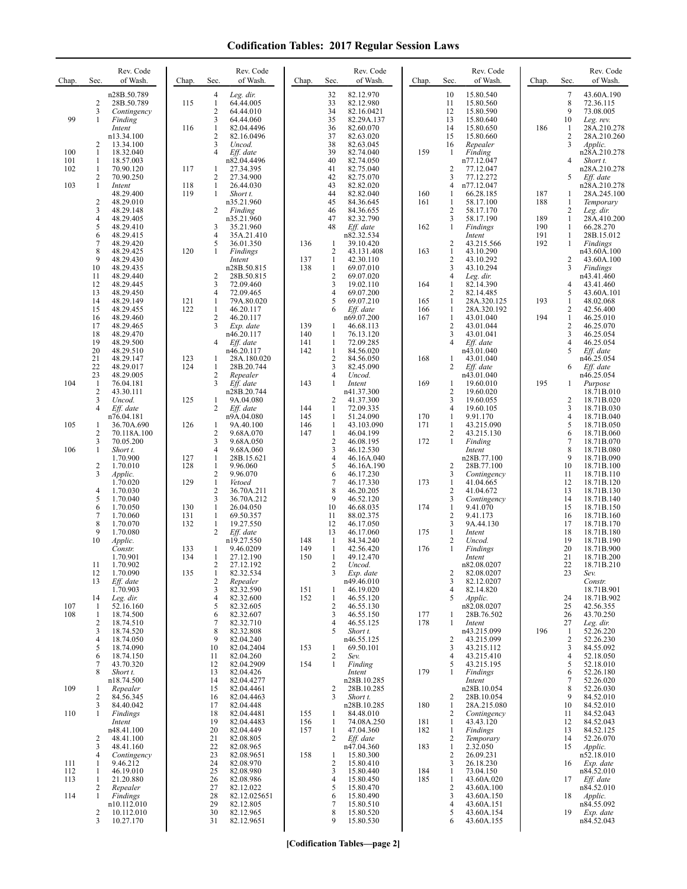## **Codification Tables: 2017 Regular Session Laws**

| Chap.             | Sec.                           | Rev. Code<br>of Wash.                    | Chap.      | Sec.                                | Rev. Code<br>of Wash.                  | Chap.             | Sec.                                | Rev. Code<br>of Wash.                | Chap.      | Sec.                                  | Rev. Code<br>of Wash.                  | Chap.      | Sec.                                | Rev. Code<br>of Wash.                    |
|-------------------|--------------------------------|------------------------------------------|------------|-------------------------------------|----------------------------------------|-------------------|-------------------------------------|--------------------------------------|------------|---------------------------------------|----------------------------------------|------------|-------------------------------------|------------------------------------------|
|                   | 2<br>3                         | n28B.50.789<br>28B.50.789<br>Contingency | 115        | 4<br>$\mathbf{1}$<br>$\overline{2}$ | Leg. dir.<br>64.44.005<br>64.44.010    |                   | 32<br>33<br>34                      | 82.12.970<br>82.12.980<br>82.16.0421 |            | 10<br>11<br>12                        | 15.80.540<br>15.80.560<br>15.80.590    |            | 7<br>8<br>9                         | 43.60A.190<br>72.36.115<br>73.08.005     |
| 99                | 1                              | Finding<br>Intent                        | 116        | 3<br>$\mathbf{1}$                   | 64.44.060<br>82.04.4496                |                   | 35<br>36                            | 82.29A.137<br>82.60.070              |            | 13<br>14                              | 15.80.640<br>15.80.650                 | 186        | 10<br>1                             | Leg. rev.<br>28A.210.278                 |
|                   | 2                              | n13.34.100<br>13.34.100                  |            | 2<br>3                              | 82.16.0496<br>Uncod.                   |                   | 37<br>38                            | 82.63.020<br>82.63.045               |            | 15<br>16                              | 15.80.660<br>Repealer                  |            | 2<br>3                              | 28A.210.260<br><i>Applic.</i>            |
| 100<br>101<br>102 | $\mathbf{1}$<br>1<br>1         | 18.32.040<br>18.57.003<br>70.90.120      | 117        | 4<br>1                              | Eff. date<br>n82.04.4496<br>27.34.395  |                   | 39<br>40<br>41                      | 82.74.040<br>82.74.050<br>82.75.040  | 159        | 1<br>2                                | Finding<br>n77.12.047<br>77.12.047     |            | 4                                   | n28A.210.278<br>Short t.<br>n28A.210.278 |
| 103               | 2<br>1                         | 70.90.250<br>Intent                      | 118        | $\overline{c}$<br>$\mathbf{1}$      | 27.34.900<br>26.44.030                 |                   | 42<br>43                            | 82.75.070<br>82.82.020               |            | 3<br>$\overline{4}$                   | 77.12.272<br>n77.12.047                |            | 5                                   | Eff. date<br>n28A.210.278                |
|                   | $\overline{\mathbf{c}}$        | 48.29.400<br>48.29.010                   | 119        | 1                                   | Short t.<br>n35.21.960                 |                   | 44<br>45                            | 82.82.040<br>84.36.645               | 160<br>161 | 1<br>1                                | 66.28.185<br>58.17.100                 | 187<br>188 | 1<br>1                              | 28A.245.100<br>Temporary                 |
|                   | 3<br>4                         | 48.29.148<br>48.29.405                   |            | 2                                   | Finding<br>n35.21.960                  |                   | 46<br>47                            | 84.36.655<br>82.32.790               |            | $\overline{2}$<br>3                   | 58.17.170<br>58.17.190                 | 189        | 2<br>$\mathbf{1}$                   | Leg. dir.<br>28A.410.200                 |
|                   | 5<br>6                         | 48.29.410<br>48.29.415                   |            | 3<br>$\overline{4}$                 | 35.21.960<br>35A.21.410                |                   | 48                                  | Eff. date<br>n82.32.534              | 162        | 1                                     | Findings<br>Intent                     | 190<br>191 | 1<br>$\mathbf{1}$                   | 66.28.270<br>28B.15.012                  |
|                   | 7<br>8                         | 48.29.420<br>48.29.425                   | 120        | 5<br>1                              | 36.01.350<br>Findings                  | 136               | $\mathbf{1}$<br>$\overline{2}$      | 39.10.420<br>43.131.408              | 163        | 2<br>$\mathbf{1}$                     | 43.215.566<br>43.10.290                | 192        | 1                                   | Findings<br>n43.60A.100                  |
|                   | 9<br>10                        | 48.29.430<br>48.29.435                   |            |                                     | Intent<br>n28B.50.815                  | 137<br>138        | $\mathbf{1}$<br>$\mathbf{1}$        | 42.30.110<br>69.07.010               |            | $\sqrt{2}$<br>3                       | 43.10.292<br>43.10.294                 |            | 2<br>3                              | 43.60A.100<br>Findings                   |
|                   | 11<br>12                       | 48.29.440<br>48.29.445                   |            | 2<br>3                              | 28B.50.815<br>72.09.460                |                   | $\overline{c}$<br>3                 | 69.07.020<br>19.02.110               | 164        | $\overline{4}$<br>$\mathbf{1}$        | Leg. dir.<br>82.14.390                 |            | 4                                   | n43.41.460<br>43.41.460                  |
|                   | 13<br>14                       | 48.29.450<br>48.29.149                   | 121        | $\overline{4}$<br>1                 | 72.09.465<br>79A.80.020                |                   | $\overline{4}$<br>5                 | 69.07.200<br>69.07.210               | 165        | $\overline{2}$<br>1                   | 82.14.485<br>28A.320.125               | 193        | 5<br>$\mathbf{1}$                   | 43.60A.101<br>48.02.068                  |
|                   | 15<br>16                       | 48.29.455<br>48.29.460                   | 122        | 1<br>2<br>3                         | 46.20.117<br>46.20.117                 |                   | 6                                   | Eff. date<br>n69.07.200              | 166<br>167 | 1<br>1<br>$\overline{2}$              | 28A.320.192<br>43.01.040               | 194        | 2<br>$\mathbf{1}$<br>$\overline{c}$ | 42.56.400<br>46.25.010                   |
|                   | 17<br>18<br>19                 | 48.29.465<br>48.29.470<br>48.29.500      |            | $\overline{4}$                      | Exp. date<br>n46.20.117<br>Eff. date   | 139<br>140<br>141 | $\mathbf{1}$<br>1<br>$\mathbf{1}$   | 46.68.113<br>76.13.120<br>72.09.285  |            | 3<br>$\overline{4}$                   | 43.01.044<br>43.01.041<br>Eff. date    |            | 3<br>4                              | 46.25.070<br>46.25.054<br>46.25.054      |
|                   | 20<br>21                       | 48.29.510<br>48.29.147                   | 123        | 1                                   | n46.20.117<br>28A.180.020              | 142               | $\mathbf{1}$<br>$\overline{2}$      | 84.56.020<br>84.56.050               | 168        | 1                                     | n43.01.040<br>43.01.040                |            | 5                                   | Eff. date<br>n46.25.054                  |
|                   | 22<br>23                       | 48.29.017<br>48.29.005                   | 124        | $\mathbf{1}$<br>$\overline{c}$      | 28B.20.744<br>Repealer                 |                   | 3<br>4                              | 82.45.090<br>Uncod.                  |            | 2                                     | Eff. date<br>n43.01.040                |            | 6                                   | Eff. date<br>n46.25.054                  |
| 104               | $\mathbf{1}$<br>$\overline{c}$ | 76.04.181<br>43.30.111                   |            | 3                                   | Eff. date<br>n28B.20.744               | 143               | 1                                   | Intent<br>n41.37.300                 | 169        | 1<br>$\overline{2}$                   | 19.60.010<br>19.60.020                 | 195        | 1                                   | Purpose<br>18.71B.010                    |
|                   | 3<br>4                         | Uncod.<br>Eff. date                      | 125        | 1<br>2                              | 9A.04.080<br>Eff. date                 | 144               | 2<br>$\mathbf{1}$                   | 41.37.300<br>72.09.335               |            | 3<br>$\overline{4}$                   | 19.60.055<br>19.60.105                 |            | 2<br>3                              | 18.71B.020<br>18.71B.030                 |
| 105               | 1                              | n76.04.181<br>36.70A.690                 | 126        | -1                                  | n9A.04.080<br>9A.40.100                | 145<br>146        | 1<br>$\mathbf{1}$                   | 51.24.090<br>43.103.090              | 170<br>171 | 1<br>1                                | 9.91.170<br>43.215.090                 |            | 4<br>5                              | 18.71B.040<br>18.71B.050                 |
| 106               | $\overline{c}$<br>3<br>1       | 70.118A.100<br>70.05.200<br>Short t.     |            | $\overline{c}$<br>3<br>4            | 9.68A.070<br>9.68A.050<br>9.68A.060    | 147               | $\mathbf{1}$<br>$\overline{c}$<br>3 | 46.04.199<br>46.08.195<br>46.12.530  | 172        | $\overline{2}$<br>$\mathbf{1}$        | 43.215.130<br>Finding                  |            | 6<br>$\tau$<br>8                    | 18.71B.060<br>18.71B.070<br>18.71B.080   |
|                   | $\overline{c}$                 | 1.70.900<br>1.70.010                     | 127<br>128 | 1<br>$\mathbf{1}$                   | 28B.15.621<br>9.96.060                 |                   | 4<br>5                              | 46.16A.040<br>46.16A.190             |            | $\overline{2}$                        | Intent<br>n28B.77.100<br>28B.77.100    |            | 9<br>10                             | 18.71B.090<br>18.71B.100                 |
|                   | 3                              | Applic.<br>1.70.020                      | 129        | $\mathbf{2}$<br>$\mathbf{1}$        | 9.96.070<br>Vetoed                     |                   | 6<br>7                              | 46.17.230<br>46.17.330               | 173        | 3<br>1                                | Contingency<br>41.04.665               |            | 11<br>12                            | 18.71B.110<br>18.71B.120                 |
|                   | 4<br>5                         | 1.70.030<br>1.70.040                     |            | $\overline{2}$<br>3                 | 36.70A.211<br>36.70A.212               |                   | 8<br>9                              | 46.20.205<br>46.52.120               |            | $\overline{c}$<br>3                   | 41.04.672<br>Contingency               |            | 13<br>14                            | 18.71B.130<br>18.71B.140                 |
|                   | 6<br>7                         | 1.70.050<br>1.70.060                     | 130<br>131 | $\mathbf{1}$<br>1                   | 26.04.050<br>69.50.357                 |                   | 10<br>11                            | 46.68.035<br>88.02.375               | 174        | $\mathbf{1}$<br>$\overline{2}$        | 9.41.070<br>9.41.173                   |            | 15<br>16                            | 18.71B.150<br>18.71B.160                 |
|                   | 8<br>9                         | 1.70.070<br>1.70.080                     | 132        | 1<br>$\overline{c}$                 | 19.27.550<br>Eff. date                 |                   | 12<br>13                            | 46.17.050<br>46.17.060               | 175        | 3<br>$\mathbf{1}$                     | 9A.44.130<br>Intent                    |            | 17<br>18                            | 18.71B.170<br>18.71B.180                 |
|                   | 10                             | Applic.<br>Constr.                       | 133        | 1                                   | n19.27.550<br>9.46.0209                | 148<br>149        | $\mathbf{1}$<br>$\mathbf{1}$        | 84.34.240<br>42.56.420               | 176        | $\overline{2}$<br>$\mathbf{1}$        | Uncod.<br>Findings                     |            | 19<br>20                            | 18.71B.190<br>18.71B.900                 |
|                   | 11<br>12                       | 1.70.901<br>1.70.902<br>1.70.090         | 134<br>135 | 1<br>2<br>$\mathbf{1}$              | 27.12.190<br>27.12.192<br>82.32.534    | 150               | $\mathbf{1}$<br>2<br>3              | 49.12.470<br>Uncod.<br>Exp. date     |            | 2                                     | Intent<br>n82.08.0207<br>82.08.0207    |            | 21<br>22<br>23                      | 18.71B.200<br>18.71B.210<br>Sev.         |
|                   | 13                             | Eff. date<br>1.70.903                    |            | $\overline{c}$<br>3                 | Repealer<br>82.32.590                  | 151               | 1                                   | n49.46.010<br>46.19.020              |            | 3<br>$\overline{4}$                   | 82.12.0207<br>82.14.820                |            |                                     | Constr.<br>18.71B.901                    |
| 107               | 14<br>-1                       | Leg. dir.<br>52.16.160                   |            | $\overline{4}$<br>5                 | 82.32.600<br>82.32.605                 | 152               | $\mathbf{1}$<br>$\overline{c}$      | 46.55.120<br>46.55.130               |            | 5                                     | Applic.<br>n82.08.0207                 |            | 24<br>25                            | 18.71B.902<br>42.56.355                  |
| 108               | 1<br>2                         | 18.74.500<br>18.74.510                   |            | 6<br>7                              | 82.32.607<br>82.32.710                 |                   | 3<br>4                              | 46.55.150<br>46.55.125               | 177<br>178 | 1<br>1                                | 28B.76.502<br>Intent                   |            | 26<br>27                            | 43.70.250<br>Leg. dir.                   |
|                   | 3<br>4                         | 18.74.520<br>18.74.050                   |            | 8<br>9                              | 82.32.808<br>82.04.240                 |                   | 5                                   | Short t.<br>n46.55.125               |            | 2                                     | n43.215.099<br>43.215.099              | 196        | 1<br>2                              | 52.26.220<br>52.26.230                   |
|                   | 5<br>6                         | 18.74.090<br>18.74.150                   |            | 10<br>11                            | 82.04.2404<br>82.04.260                | 153               | 1<br>$\sqrt{2}$                     | 69.50.101<br>Sev.                    |            | 3<br>$\overline{4}$                   | 43.215.112<br>43.215.410               |            | 3<br>4                              | 84.55.092<br>52.18.050                   |
|                   | 7<br>8                         | 43.70.320<br>Short t.<br>n18.74.500      |            | 12<br>13<br>14                      | 82.04.2909<br>82.04.426<br>82.04.4277  | 154               | $\mathbf{1}$                        | Finding<br>Intent<br>n28B.10.285     | 179        | 5<br>1                                | 43.215.195<br>Findings<br>Intent       |            | 5<br>6<br>7                         | 52.18.010<br>52.26.180<br>52.26.020      |
| 109               | 1<br>2                         | Repealer<br>84.56.345                    |            | 15<br>16                            | 82.04.4461<br>82.04.4463               |                   | 2<br>3                              | 28B.10.285<br>Short t.               |            | 2                                     | n28B.10.054<br>28B.10.054              |            | 8<br>9                              | 52.26.030<br>84.52.010                   |
| 110               | 3<br>1                         | 84.40.042<br>Findings                    |            | 17<br>18                            | 82.04.448<br>82.04.4481                | 155               | 1                                   | n28B.10.285<br>84.48.010             | 180        | 1<br>2                                | 28A.215.080<br>Contingency             |            | 10<br>11                            | 84.52.010<br>84.52.043                   |
|                   |                                | Intent<br>n48.41.100                     |            | 19<br>20                            | 82.04.4483<br>82.04.449                | 156<br>157        | $\mathbf{1}$<br>$\mathbf{1}$        | 74.08A.250<br>47.04.360              | 181<br>182 | 1<br>1                                | 43.43.120<br>Findings                  |            | 12<br>13                            | 84.52.043<br>84.52.125                   |
|                   | 2<br>3                         | 48.41.100<br>48.41.160                   |            | 21<br>22                            | 82.08.805<br>82.08.965                 |                   | 2                                   | Eff. date<br>n47.04.360              | 183        | 2<br>1                                | Temporary<br>2.32.050                  |            | 14<br>15                            | 52.26.070<br>Applic.                     |
| 111               | 4<br>1                         | Contingency<br>9.46.212                  |            | 23<br>24                            | 82.08.9651<br>82.08.970                | 158               | 1<br>$\overline{c}$                 | 15.80.300<br>15.80.410               |            | 2<br>3                                | 26.09.231<br>26.18.230                 |            | 16                                  | n52.18.010<br>Exp. date                  |
| 112<br>113        | 1<br>1                         | 46.19.010<br>21.20.880                   |            | 25<br>26                            | 82.08.980<br>82.08.986                 |                   | 3<br>4                              | 15.80.440<br>15.80.450               | 184<br>185 | 1<br>-1                               | 73.04.150<br>43.60A.020                |            | 17                                  | n84.52.010<br>Eff. date                  |
| 114               | 2<br>1                         | Repealer<br>Findings<br>n10.112.010      |            | 27<br>28<br>29                      | 82.12.022<br>82.12.025651<br>82.12.805 |                   | 5<br>6<br>7                         | 15.80.470<br>15.80.490<br>15.80.510  |            | $\overline{2}$<br>3<br>$\overline{4}$ | 43.60A.100<br>43.60A.150<br>43.60A.151 |            | 18                                  | n84.52.010<br>Applic.<br>n84.55.092      |
|                   | $\overline{c}$<br>3            | 10.112.010<br>10.27.170                  |            | 30<br>31                            | 82.12.965<br>82.12.9651                |                   | 8<br>9                              | 15.80.520<br>15.80.530               |            | 5<br>6                                | 43.60A.154<br>43.60A.155               |            | 19                                  | Exp. date<br>n84.52.043                  |
|                   |                                |                                          |            |                                     |                                        |                   |                                     |                                      |            |                                       |                                        |            |                                     |                                          |

**[Codification Tables—page 2]**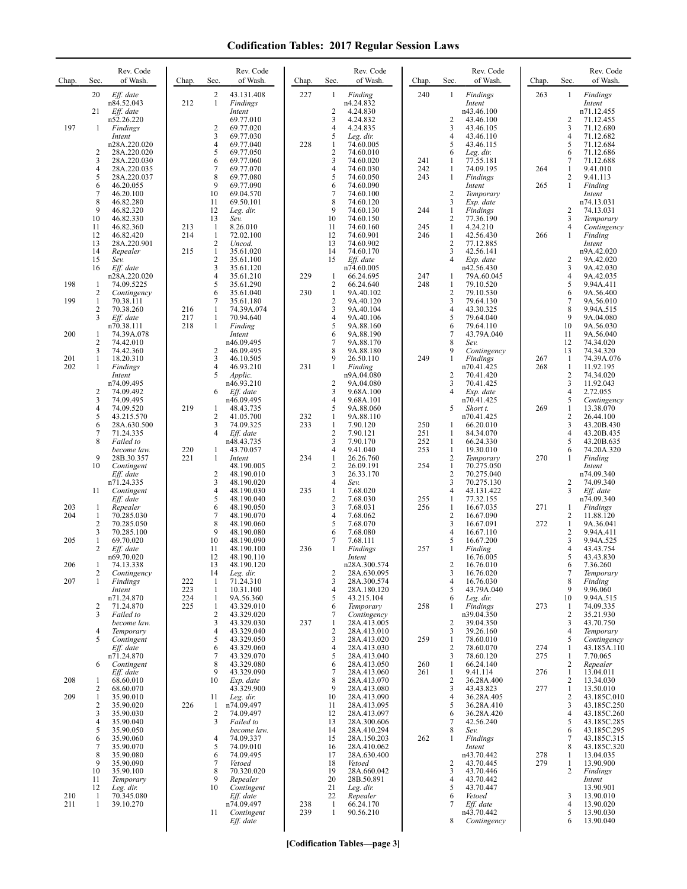## **Codification Tables: 2017 Regular Session Laws**

| Chap.      | Sec.                | Rev. Code<br>of Wash.      | Chap.      | Sec.                           | Rev. Code<br>of Wash.    | Chap.      | Sec.                             | Rev. Code<br>of Wash.      | Chap.      | Sec.                           | Rev. Code<br>of Wash.         | Chap.      | Sec.                           | Rev. Code<br>of Wash.      |
|------------|---------------------|----------------------------|------------|--------------------------------|--------------------------|------------|----------------------------------|----------------------------|------------|--------------------------------|-------------------------------|------------|--------------------------------|----------------------------|
|            | 20                  | Eff. date<br>n84.52.043    | 212        | $\overline{c}$<br>$\mathbf{1}$ | 43.131.408<br>Findings   | 227        | 1                                | Finding<br>n4.24.832       | 240        | 1                              | Findings<br>Intent            | 263        | 1                              | Findings<br>Intent         |
|            | 21                  | Eff. date                  |            |                                | Intent                   |            | 2                                | 4.24.830                   |            |                                | n43.46.100                    |            |                                | n71.12.455<br>71.12.455    |
| 197        | 1                   | n52.26.220<br>Findings     |            | $\overline{c}$                 | 69.77.010<br>69.77.020   |            | 3<br>$\overline{4}$              | 4.24.832<br>4.24.835       |            | $\overline{c}$<br>3            | 43.46.100<br>43.46.105        |            | $\overline{2}$<br>3            | 71.12.680                  |
|            |                     | Intent<br>n28A.220.020     |            | 3<br>$\overline{4}$            | 69.77.030<br>69.77.040   | 228        | 5<br>$\mathbf{1}$                | Leg. dir.<br>74.60.005     |            | 4<br>5                         | 43.46.110<br>43.46.115        |            | 4<br>5                         | 71.12.682<br>71.12.684     |
|            | 2<br>3              | 28A.220.020<br>28A.220.030 |            | 5<br>6                         | 69.77.050<br>69.77.060   |            | $\overline{2}$<br>3              | 74.60.010<br>74.60.020     | 241        | 6<br>1                         | Leg. dir.<br>77.55.181        |            | 6<br>7                         | 71.12.686<br>71.12.688     |
|            | $\overline{4}$      | 28A.220.035                |            | 7                              | 69.77.070                |            | $\overline{4}$                   | 74.60.030                  | 242        | 1                              | 74.09.195                     | 264        | 1                              | 9.41.010                   |
|            | 5<br>6              | 28A.220.037<br>46.20.055   |            | 8<br>9                         | 69.77.080<br>69.77.090   |            | 5<br>6                           | 74.60.050<br>74.60.090     | 243        | 1                              | Findings<br>Intent            | 265        | $\overline{c}$<br>$\mathbf{1}$ | 9.41.113<br>Finding        |
|            | 7<br>8              | 46.20.100<br>46.82.280     |            | 10<br>11                       | 69.04.570<br>69.50.101   |            | $\tau$<br>8                      | 74.60.100<br>74.60.120     |            | $\overline{2}$<br>3            | Temporary<br>Exp. date        |            |                                | Intent<br>n74.13.031       |
|            | 9<br>10             | 46.82.320<br>46.82.330     |            | 12<br>13                       | Leg. dir.<br>Sev.        |            | 9<br>10                          | 74.60.130<br>74.60.150     | 244        | 1<br>$\overline{c}$            | <b>Findings</b><br>77.36.190  |            | 2<br>3                         | 74.13.031<br>Temporary     |
|            | 11<br>12            | 46.82.360<br>46.82.420     | 213<br>214 | 1<br>$\mathbf{1}$              | 8.26.010<br>72.02.100    |            | 11<br>12                         | 74.60.160<br>74.60.901     | 245<br>246 | 1<br>$\mathbf{1}$              | 4.24.210<br>42.56.430         | 266        | 4<br>1                         | Contingency<br>Finding     |
|            | 13                  | 28A.220.901                |            | $\overline{c}$                 | Uncod.                   |            | 13                               | 74.60.902                  |            | $\overline{2}$                 | 77.12.885                     |            |                                | Intent                     |
|            | 14<br>15            | Repealer<br>Sev.           | 215        | $\mathbf{1}$<br>$\overline{2}$ | 35.61.020<br>35.61.100   |            | 14<br>15                         | 74.60.170<br>Eff. date     |            | 3<br>$\overline{4}$            | 42.56.141<br>Exp. date        |            | $\overline{2}$                 | n9A.42.020<br>9A.42.020    |
|            | 16                  | Eff. date<br>n28A.220.020  |            | 3<br>$\overline{4}$            | 35.61.120<br>35.61.210   | 229        | 1                                | n74.60.005<br>66.24.695    | 247        | 1                              | n42.56.430<br>79A.60.045      |            | 3<br>$\overline{4}$            | 9A.42.030<br>9A.42.035     |
| 198        | 1<br>$\overline{c}$ | 74.09.5225<br>Contingency  |            | 5<br>6                         | 35.61.290<br>35.61.040   | 230        | 2<br>$\mathbf{1}$                | 66.24.640<br>9A.40.102     | 248        | 1<br>$\overline{c}$            | 79.10.520<br>79.10.530        |            | 5<br>6                         | 9.94A.411<br>9A.56.400     |
| 199        | 1<br>2              | 70.38.111<br>70.38.260     | 216        | 7<br>1                         | 35.61.180<br>74.39A.074  |            | $\sqrt{2}$<br>$\mathbf{3}$       | 9A.40.120<br>9A.40.104     |            | 3<br>4                         | 79.64.130<br>43.30.325        |            | 7<br>8                         | 9A.56.010<br>9.94A.515     |
|            | 3                   | Eff. date                  | 217<br>218 | 1<br>$\mathbf{1}$              | 70.94.640                |            | $\overline{4}$<br>5              | 9A.40.106                  |            | 5                              | 79.64.040                     |            | 9<br>10                        | 9A.04.080<br>9A.56.030     |
| 200        | 1                   | n70.38.111<br>74.39A.078   |            |                                | Finding<br>Intent        |            | 6                                | 9A.88.160<br>9A.88.190     |            | 6<br>$\overline{7}$            | 79.64.110<br>43.79A.040       |            | 11                             | 9A.56.040                  |
|            | 2<br>3              | 74.42.010<br>74.42.360     |            | 2                              | n46.09.495<br>46.09.495  |            | $\overline{7}$<br>8              | 9A.88.170<br>9A.88.180     |            | 8<br>9                         | Sev.<br>Contingency           |            | 12<br>13                       | 74.34.020<br>74.34.320     |
| 201<br>202 | 1<br>1              | 18.20.310<br>Findings      |            | 3<br>$\overline{4}$            | 46.10.505<br>46.93.210   | 231        | 9<br>1                           | 26.50.110<br>Finding       | 249        | $\mathbf{1}$                   | <b>Findings</b><br>n70.41.425 | 267<br>268 | 1<br>$\mathbf{1}$              | 74.39A.076<br>11.92.195    |
|            |                     | Intent<br>n74.09.495       |            | 5                              | Applic.<br>n46.93.210    |            | $\overline{2}$                   | n9A.04.080<br>9A.04.080    |            | $\overline{2}$<br>3            | 70.41.420<br>70.41.425        |            | 2<br>3                         | 74.34.020<br>11.92.043     |
|            | 2<br>3              | 74.09.492<br>74.09.495     |            | 6                              | Eff. date<br>n46.09.495  |            | $\mathfrak{Z}$<br>$\overline{4}$ | 9.68A.100<br>9.68A.101     |            | 4                              | Exp. date<br>n70.41.425       |            | $\overline{4}$<br>5            | 2.72.055<br>Contingency    |
|            | $\overline{4}$      | 74.09.520                  | 219        | 1                              | 48.43.735                |            | 5                                | 9A.88.060                  |            | 5                              | Short t.                      | 269        | $\mathbf{1}$                   | 13.38.070                  |
|            | 5<br>6              | 43.215.570<br>28A.630.500  |            | 2<br>3                         | 41.05.700<br>74.09.325   | 232<br>233 | 1<br>$\mathbf{1}$                | 9A.88.110<br>7.90.120      | 250        | 1                              | n70.41.425<br>66.20.010       |            | $\overline{c}$<br>3            | 26.44.100<br>43.20B.430    |
|            | 7<br>8              | 71.24.335<br>Failed to     |            | $\overline{4}$                 | Eff. date<br>n48.43.735  |            | 2<br>3                           | 7.90.121<br>7.90.170       | 251<br>252 | 1<br>$\mathbf{1}$              | 84.34.070<br>66.24.330        |            | $\overline{4}$<br>5            | 43.20B.435<br>43.20B.635   |
|            | 9                   | become law.<br>28B.30.357  | 220<br>221 | $\mathbf{1}$<br>$\mathbf{1}$   | 43.70.057<br>Intent      | 234        | 4<br>$\mathbf{1}$                | 9.41.040<br>26.26.760      | 253        | 1<br>$\overline{2}$            | 19.30.010<br>Temporary        | 270        | 6<br>1                         | 74.20A.320<br>Finding      |
|            | 10                  | Contingent<br>Eff. date    |            | 2                              | 48.190.005<br>48.190.010 |            | $\sqrt{2}$<br>3                  | 26.09.191<br>26.33.170     | 254        | 1<br>$\overline{2}$            | 70.275.050<br>70.275.040      |            |                                | Intent<br>n74.09.340       |
|            | 11                  | n71.24.335                 |            | 3<br>4                         | 48.190.020<br>48.190.030 | 235        | $\overline{4}$<br>$\mathbf{1}$   | Sev.<br>7.68.020           |            | 3<br>4                         | 70.275.130<br>43.131.422      |            | $\overline{2}$<br>3            | 74.09.340<br>Eff. date     |
|            |                     | Contingent<br>Eff. date    |            | 5                              | 48.190.040               |            | $\sqrt{2}$                       | 7.68.030                   | 255        | 1                              | 77.32.155                     |            |                                | n74.09.340                 |
| 203<br>204 | 1<br>$\mathbf{1}$   | Repealer<br>70.285.030     |            | 6<br>7                         | 48.190.050<br>48.190.070 |            | 3<br>$\overline{4}$              | 7.68.031<br>7.68.062       | 256        | $\mathbf{1}$<br>$\overline{2}$ | 16.67.035<br>16.67.090        | 271        | 1<br>2                         | Findings<br>11.88.120      |
|            | 2<br>3              | 70.285.050<br>70.285.100   |            | 8<br>9                         | 48.190.060<br>48.190.080 |            | 5<br>6                           | 7.68.070<br>7.68.080       |            | 3<br>$\overline{4}$            | 16.67.091<br>16.67.110        | 272        | 1<br>2                         | 9A.36.041<br>9.94A.411     |
| 205        | 1<br>2              | 69.70.020<br>Eff. date     |            | 10<br>11                       | 48.190.090<br>48.190.100 | 236        | 7<br>$\mathbf{1}$                | 7.68.111<br>Findings       | 257        | 5<br>1                         | 16.67.200<br>Finding          |            | 3<br>$\overline{4}$            | 9.94A.525<br>43.43.754     |
| 206        |                     | n69.70.020<br>74.13.338    |            | 12<br>13                       | 48.190.110<br>48.190.120 |            |                                  | Intent<br>n28A.300.574     |            |                                | 16.76.005<br>16.76.010        |            | 5                              | 43.43.830<br>7.36.260      |
| 207        | 2<br>1              | Contingency<br>Findings    | 222        | 14<br>1                        | Leg. dir.<br>71.24.310   |            | $\overline{c}$<br>3              | 28A.630.095<br>28A.300.574 |            | 3<br>$\overline{4}$            | 16.76.020<br>16.76.030        |            | 7<br>8                         | Temporary<br>Finding       |
|            |                     | Intent                     | 223        | $\mathbf{1}$                   | 10.31.100                |            | $\overline{4}$                   | 28A.180.120                |            | 5                              | 43.79A.040                    |            | 9                              | 9.96.060                   |
|            | $\overline{c}$      | n71.24.870<br>71.24.870    | 224<br>225 | 1<br>$\mathbf{1}$              | 9A.56.360<br>43.329.010  |            | 5<br>6                           | 43.215.104<br>Temporary    | 258        | 6<br>1                         | Leg. dir.<br>Findings         | 273        | 10<br>1                        | 9.94A.515<br>74.09.335     |
|            | 3                   | Failed to<br>become law.   |            | 2<br>3                         | 43.329.020<br>43.329.030 | 237        | 7<br>$\mathbf{1}$                | Contingency<br>28A.413.005 |            | 2                              | n39.04.350<br>39.04.350       |            | 2<br>3                         | 35.21.930<br>43.70.750     |
|            | 4<br>5              | Temporary<br>Contingent    |            | 4<br>5                         | 43.329.040<br>43.329.050 |            | $\sqrt{2}$<br>$\mathfrak{Z}$     | 28A.413.010<br>28A.413.020 | 259        | 3<br>1                         | 39.26.160<br>78.60.010        |            | 4<br>5                         | Temporary<br>Contingency   |
|            |                     | Eff. date<br>n71.24.870    |            | 6<br>7                         | 43.329.060<br>43.329.070 |            | $\overline{4}$<br>5              | 28A.413.030<br>28A.413.040 |            | 2<br>3                         | 78.60.070<br>78.60.120        | 274<br>275 | 1<br>$\mathbf{1}$              | 43.185A.110<br>7.70.065    |
|            | 6                   | Contingent                 |            | 8<br>9                         | 43.329.080               |            | 6                                | 28A.413.050<br>28A.413.060 | 260        | 1                              | 66.24.140                     |            | $\mathbf{2}$                   | Repealer                   |
| 208        | 1                   | Eff. date<br>68.60.010     |            | 10                             | 43.329.090<br>Exp. date  |            | $\overline{7}$<br>8              | 28A.413.070                | 261        | 1<br>$\overline{2}$            | 9.41.114<br>36.28A.400        | 276        | $\mathbf{1}$<br>2              | 13.04.011<br>13.34.030     |
| 209        | 2<br>1              | 68.60.070<br>35.90.010     |            | 11                             | 43.329.900<br>Leg. dir.  |            | 9<br>10                          | 28A.413.080<br>28A.413.090 |            | 3<br>4                         | 43.43.823<br>36.28A.405       | 277        | 1<br>2                         | 13.50.010<br>43.185C.010   |
|            | $\overline{c}$<br>3 | 35.90.020<br>35.90.030     | 226        | $\mathbf{1}$<br>2              | n74.09.497<br>74.09.497  |            | 11<br>12                         | 28A.413.095<br>28A.413.097 |            | 5<br>6                         | 36.28A.410<br>36.28A.420      |            | 3<br>$\overline{4}$            | 43.185C.250<br>43.185C.260 |
|            | 4<br>5              | 35.90.040<br>35.90.050     |            | 3                              | Failed to<br>become law. |            | 13<br>14                         | 28A.300.606<br>28A.410.294 |            | 7<br>8                         | 42.56.240<br>Sev.             |            | 5<br>6                         | 43.185C.285<br>43.185C.295 |
|            | 6<br>7              | 35.90.060<br>35.90.070     |            | 4<br>5                         | 74.09.337<br>74.09.010   |            | 15<br>16                         | 28A.150.203<br>28A.410.062 | 262        | 1                              | Findings<br>Intent            |            | 7<br>8                         | 43.185C.315<br>43.185C.320 |
|            | 8                   | 35.90.080                  |            | 6                              | 74.09.495                |            | 17                               | 28A.630.400                |            |                                | n43.70.442                    | 278        | 1                              | 13.04.035                  |
|            | 9<br>10             | 35.90.090<br>35.90.100     |            | 7<br>8                         | Vetoed<br>70.320.020     |            | 18<br>19                         | Vetoed<br>28A.660.042      |            | $\overline{2}$<br>3            | 43.70.445<br>43.70.446        | 279        | $\mathbf{1}$<br>2              | 13.90.900<br>Findings      |
|            | 11<br>12            | Temporary<br>Leg. dir.     |            | 9<br>10                        | Repealer<br>Contingent   |            | 20<br>21                         | 28B.50.891<br>Leg. dir.    |            | 4<br>5                         | 43.70.442<br>43.70.447        |            |                                | Intent<br>13.90.901        |
| 210<br>211 | $\mathbf{1}$<br>1   | 70.345.080<br>39.10.270    |            |                                | Eff. date<br>n74.09.497  | 238        | 22<br>$\mathbf{1}$               | Repealer<br>66.24.170      |            | 6<br>7                         | Vetoed<br>Eff. date           |            | 3<br>4                         | 13.90.010<br>13.90.020     |
|            |                     |                            |            | 11                             | Contingent<br>Eff. date  | 239        | 1                                | 90.56.210                  |            | 8                              | n43.70.442<br>Contingency     |            | 5<br>6                         | 13.90.030<br>13.90.040     |
|            |                     |                            |            |                                |                          |            |                                  |                            |            |                                |                               |            |                                |                            |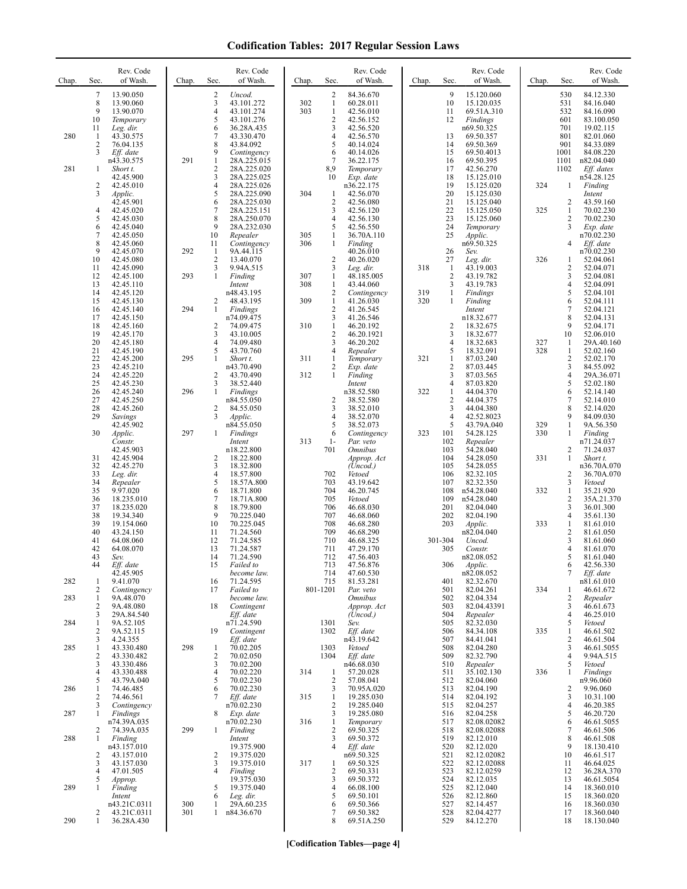## **Codification Tables: 2017 Regular Session Laws**

| Chap. | Sec.                         | Rev. Code<br>of Wash.          | Chap. | Sec.                         | Rev. Code<br>of Wash.      | Chap.      | Sec.                           | Rev. Code<br>of Wash.                | Chap.      | Sec.                           | Rev. Code<br>of Wash.      | Chap.      | Sec.                | Rev. Code<br>of Wash.     |
|-------|------------------------------|--------------------------------|-------|------------------------------|----------------------------|------------|--------------------------------|--------------------------------------|------------|--------------------------------|----------------------------|------------|---------------------|---------------------------|
|       | 7<br>8                       | 13.90.050<br>13.90.060         |       | 2<br>3                       | Uncod.<br>43.101.272       | 302        | $\overline{c}$<br>$\mathbf{1}$ | 84.36.670<br>60.28.011               |            | 9<br>10                        | 15.120.060<br>15.120.035   |            | 530<br>531          | 84.12.330<br>84.16.040    |
|       | 9                            | 13.90.070                      |       | 4                            | 43.101.274                 | 303        | $\mathbf{1}$                   | 42.56.010                            |            | 11                             | 69.51A.310                 |            | 532                 | 84.16.090                 |
|       | 10<br>11                     | Temporary<br>Leg. dir.         |       | 5<br>6                       | 43.101.276<br>36.28A.435   |            | $\overline{c}$<br>3            | 42.56.152<br>42.56.520               |            | 12                             | Findings<br>n69.50.325     |            | 601<br>701          | 83.100.050<br>19.02.115   |
| 280   | 1<br>2                       | 43.30.575                      |       | 7<br>8                       | 43.330.470                 |            | 4<br>5                         | 42.56.570                            |            | 13<br>14                       | 69.50.357                  |            | 801<br>901          | 82.01.060                 |
|       | 3                            | 76.04.135<br>Eff. date         |       | 9                            | 43.84.092<br>Contingency   |            | 6                              | 40.14.024<br>40.14.026               |            | 15                             | 69.50.369<br>69.50.4013    |            | 1001                | 84.33.089<br>84.08.220    |
| 281   | 1                            | n43.30.575<br>Short t.         | 291   | $\mathbf{1}$<br>$\mathbf{2}$ | 28A.225.015<br>28A.225.020 |            | 7<br>8,9                       | 36.22.175<br>Temporary               |            | 16<br>17                       | 69.50.395<br>42.56.270     |            | 1101<br>1102        | n82.04.040<br>Eff. dates  |
|       |                              | 42.45.900                      |       | 3                            | 28A.225.025                |            | 10                             | Exp. date                            |            | 18                             | 15.125.010                 |            |                     | n54.28.125                |
|       | $\overline{c}$<br>3          | 42.45.010<br>Applic.           |       | 4<br>5                       | 28A.225.026<br>28A.225.090 | 304        | 1                              | n36.22.175<br>42.56.070              |            | 19<br>20                       | 15.125.020<br>15.125.030   | 324        | 1                   | Finding<br>Intent         |
|       |                              | 42.45.901                      |       | 6<br>7                       | 28A.225.030                |            | $\overline{2}$                 | 42.56.080                            |            | 21                             | 15.125.040                 |            | 2                   | 43.59.160<br>70.02.230    |
|       | 4<br>5                       | 42.45.020<br>42.45.030         |       | 8                            | 28A.225.151<br>28A.250.070 |            | 3<br>4                         | 42.56.120<br>42.56.130               |            | 22<br>23                       | 15.125.050<br>15.125.060   | 325        | 1<br>2              | 70.02.230                 |
|       | 6<br>7                       | 42.45.040<br>42.45.050         |       | 9<br>10                      | 28A.232.030<br>Repealer    | 305        | 5<br>1                         | 42.56.550<br>36.70A.110              |            | 24<br>25                       | Temporary<br>Applic.       |            | 3                   | Exp. date<br>n70.02.230   |
|       | 8                            | 42.45.060                      |       | 11                           | Contingency                | 306        | 1                              | Finding                              |            |                                | n69.50.325                 |            | 4                   | Eff. date                 |
|       | 9<br>10                      | 42.45.070<br>42.45.080         | 292   | 1<br>$\overline{2}$          | 9A.44.115<br>13.40.070     |            | $\overline{2}$                 | 40.26.010<br>40.26.020               |            | 26<br>27                       | Sev.<br>Leg. dir.          | 326        | 1                   | n70.02.230<br>52.04.061   |
|       | 11                           | 42.45.090                      | 293   | 3<br>$\mathbf{1}$            | 9.94A.515                  |            | 3<br>$\mathbf{1}$              | Leg. dir.                            | 318        | -1<br>$\overline{2}$           | 43.19.003                  |            | 2<br>3              | 52.04.071                 |
|       | 12<br>13                     | 42.45.100<br>42.45.110         |       |                              | Finding<br>Intent          | 307<br>308 | 1                              | 48.185.005<br>43.44.060              |            | 3                              | 43.19.782<br>43.19.783     |            | 4                   | 52.04.081<br>52.04.091    |
|       | 14<br>15                     | 42.45.120<br>42.45.130         |       | 2                            | n48.43.195<br>48.43.195    | 309        | $\overline{c}$<br>$\mathbf{1}$ | Contingency<br>41.26.030             | 319<br>320 | $\mathbf{1}$<br>1              | Findings<br>Finding        |            | 5<br>6              | 52.04.101<br>52.04.111    |
|       | 16                           | 42.45.140                      | 294   | 1                            | Findings                   |            | $\overline{c}$                 | 41.26.545                            |            |                                | Intent                     |            | 7                   | 52.04.121                 |
|       | 17<br>18                     | 42.45.150<br>42.45.160         |       | 2                            | n74.09.475<br>74.09.475    | 310        | 3<br>1                         | 41.26.546<br>46.20.192               |            | $\overline{c}$                 | n18.32.677<br>18.32.675    |            | 8<br>9              | 52.04.131<br>52.04.171    |
|       | 19<br>20                     | 42.45.170<br>42.45.180         |       | 3<br>$\overline{4}$          | 43.10.005<br>74.09.480     |            | $\overline{2}$<br>3            | 46.20.1921<br>46.20.202              |            | 3<br>$\overline{4}$            | 18.32.677<br>18.32.683     | 327        | 10<br>1             | 52.06.010<br>29A.40.160   |
|       | 21                           | 42.45.190                      |       | 5                            | 43.70.760                  |            | 4                              | Repealer                             |            | 5                              | 18.32.091                  | 328        | 1                   | 52.02.160                 |
|       | 22<br>23                     | 42.45.200<br>42.45.210         | 295   | $\mathbf{1}$                 | Short t.<br>n43.70.490     | 311        | $\mathbf{1}$<br>2              | Temporary<br>Exp. date               | 321        | $\mathbf{1}$<br>$\overline{c}$ | 87.03.240<br>87.03.445     |            | $\overline{c}$<br>3 | 52.02.170<br>84.55.092    |
|       | 24                           | 42.45.220                      |       | 2                            | 43.70.490                  | 312        | 1                              | Finding                              |            | 3                              | 87.03.565                  |            | 4                   | 29A.36.071                |
|       | 25<br>26                     | 42.45.230<br>42.45.240         | 296   | 3<br>1                       | 38.52.440<br>Findings      |            |                                | Intent<br>n38.52.580                 | 322        | $\overline{4}$<br>1            | 87.03.820<br>44.04.370     |            | 5<br>6              | 52.02.180<br>52.14.140    |
|       | 27<br>28                     | 42.45.250<br>42.45.260         |       | 2                            | n84.55.050<br>84.55.050    |            | $\overline{c}$<br>3            | 38.52.580<br>38.52.010               |            | $\sqrt{2}$<br>3                | 44.04.375<br>44.04.380     |            | 7<br>8              | 52.14.010<br>52.14.020    |
|       | 29                           | Savings                        |       | 3                            | Applic.                    |            | 4                              | 38.52.070                            |            | $\overline{4}$                 | 42.52.8023                 |            | 9                   | 84.09.030                 |
|       | 30                           | 42.45.902<br>Applic.           | 297   | 1                            | n84.55.050<br>Findings     |            | 5<br>6                         | 38.52.073<br>Contingency             | 323        | 5<br>101                       | 43.79A.040<br>54.28.125    | 329<br>330 | 1<br>$\mathbf{1}$   | 9A.56.350<br>Finding      |
|       |                              | Constr.<br>42.45.903           |       |                              | Intent<br>n18.22.800       | 313        | $1-$<br>701                    | Par. veto<br><i><b>Omnibus</b></i>   |            | 102<br>103                     | Repealer<br>54.28.040      |            | 2                   | n71.24.037<br>71.24.037   |
|       | 31                           | 42.45.904                      |       | 2                            | 18.22.800                  |            |                                | Approp. Act                          |            | 104                            | 54.28.050                  | 331        | 1                   | Short t.                  |
|       | 32<br>33                     | 42.45.270<br>Leg. dir.         |       | 3<br>4                       | 18.32.800<br>18.57.800     |            | 702                            | (Uncod.)<br>Vetoed                   |            | 105<br>106                     | 54.28.055<br>82.32.105     |            | 2                   | n36.70A.070<br>36.70A.070 |
|       | 34                           | Repealer                       |       | 5                            | 18.57A.800                 |            | 703                            | 43.19.642                            |            | 107                            | 82.32.350                  |            | 3                   | Vetoed                    |
|       | 35<br>36                     | 9.97.020<br>18.235.010         |       | 6<br>7                       | 18.71.800<br>18.71A.800    |            | 704<br>705                     | 46.20.745<br>Vetoed                  |            | 108<br>109                     | n54.28.040<br>n54.28.040   | 332        | $\mathbf{1}$<br>2   | 35.21.920<br>35A.21.370   |
|       | 37<br>38                     | 18.235.020<br>19.34.340        |       | 8<br>9                       | 18.79.800<br>70.225.040    |            | 706<br>707                     | 46.68.030<br>46.68.060               |            | 201<br>202                     | 82.04.040<br>82.04.190     |            | 3<br>4              | 36.01.300<br>35.61.130    |
|       | 39                           | 19.154.060                     |       | 10                           | 70.225.045                 |            | 708                            | 46.68.280                            |            | 203                            | Applic.                    | 333        | $\mathbf{1}$        | 81.61.010                 |
|       | 40<br>41                     | 43.24.150<br>64.08.060         |       | 11<br>12                     | 71.24.560<br>71.24.585     |            | 709<br>710                     | 46.68.290<br>46.68.325               |            | 301-304                        | n82.04.040<br>Uncod.       |            | 2<br>3              | 81.61.050<br>81.61.060    |
|       | 42<br>43                     | 64.08.070                      |       | 13<br>14                     | 71.24.587                  |            | 711<br>712                     | 47.29.170                            |            | 305                            | Constr.                    |            | 4<br>5              | 81.61.070                 |
|       |                              | Sev.<br>Eff. date              |       | 15                           | 71.24.590<br>Failed to     |            | 713                            | 47.56.403<br>47.56.876               |            | 306                            | n82.08.052<br>Applic.      |            | 6                   | 81.61.040<br>42.56.330    |
| 282   | 1                            | 42.45.905<br>9.41.070          |       | 16                           | become law.<br>71.24.595   |            | 714<br>715                     | 47.60.530<br>81.53.281               |            | 401                            | n82.08.052<br>82.32.670    |            | $\tau$              | Eff. date<br>n81.61.010   |
|       | 2                            | Contingency                    |       | 17                           | Failed to                  |            | 801-1201                       | Par. veto                            |            | 501                            | 82.04.261                  | 334        | 1                   | 46.61.672                 |
| 283   | 1<br>2                       | 9A.48.070<br>9A.48.080         |       | 18                           | become law.<br>Contingent  |            |                                | <i><b>Omnibus</b></i><br>Approp. Act |            | 502<br>503                     | 82.04.334<br>82.04.43391   |            | 2<br>3              | Repealer<br>46.61.673     |
| 284   | 3<br>1                       | 29A.84.540<br>9A.52.105        |       |                              | Eff. date<br>n71.24.590    |            | 1301                           | (Uncod.)<br>Sev.                     |            | 504<br>505                     | Repealer<br>82.32.030      |            | $\overline{4}$<br>5 | 46.25.010<br>Vetoed       |
|       | $\overline{c}$               | 9A.52.115                      |       | 19                           | Contingent                 |            | 1302                           | Eff. date                            |            | 506                            | 84.34.108                  | 335        | 1                   | 46.61.502                 |
| 285   | 3<br>1                       | 4.24.355<br>43.330.480         | 298   | -1                           | Eff. date<br>70.02.205     |            | 1303                           | n43.19.642<br>Vetoed                 |            | 507<br>508                     | 84.41.041<br>82.04.280     |            | 2<br>3              | 46.61.504<br>46.61.5055   |
|       | $\overline{\mathbf{c}}$<br>3 | 43.330.482<br>43.330.486       |       | $\overline{2}$<br>3          | 70.02.050<br>70.02.200     |            | 1304                           | Eff. date<br>n46.68.030              |            | 509<br>510                     | 82.32.790<br>Repealer      |            | 4<br>5              | 9.94A.515<br>Vetoed       |
|       | 4                            | 43.330.488                     |       | $\overline{4}$               | 70.02.220                  | 314        | 1                              | 57.20.028                            |            | 511                            | 35.102.130                 | 336        | 1                   | Findings                  |
| 286   | 5<br>1                       | 43.79A.040<br>74.46.485        |       | 5<br>6                       | 70.02.230<br>70.02.230     |            | $\overline{2}$<br>3            | 57.08.041<br>70.95A.020              |            | 512<br>513                     | 82.04.060<br>82.04.190     |            | 2                   | n9.96.060<br>9.96.060     |
|       | 2                            | 74.46.561                      |       | 7                            | Eff. date                  | 315        | $\mathbf{1}$                   | 19.285.030                           |            | 514                            | 82.04.192                  |            | 3                   | 10.31.100                 |
| 287   | 3<br>1                       | Contingency<br><b>Findings</b> |       | 8                            | n70.02.230<br>Exp. date    |            | $\overline{2}$<br>3            | 19.285.040<br>19.285.080             |            | 515<br>516                     | 82.04.257<br>82.04.258     |            | 4<br>5              | 46.20.385<br>46.20.720    |
|       | 2                            | n74.39A.035<br>74.39A.035      | 299   | $\mathbf{1}$                 | n70.02.230<br>Finding      | 316        | 1<br>$\overline{2}$            | Temporary<br>69.50.325               |            | 517<br>518                     | 82.08.02082<br>82.08.02088 |            | 6<br>7              | 46.61.5055<br>46.61.506   |
| 288   | 1                            | Finding                        |       |                              | Intent                     |            | 3                              | 69.50.372                            |            | 519                            | 82.12.010                  |            | 8                   | 46.61.508                 |
|       | 2                            | n43.157.010<br>43.157.010      |       | 2                            | 19.375.900<br>19.375.020   |            | 4                              | Eff. date<br>n69.50.325              |            | 520<br>521                     | 82.12.020<br>82.12.02082   |            | 9<br>10             | 18.130.410<br>46.61.517   |
|       | 3<br>4                       | 43.157.030<br>47.01.505        |       | 3<br>4                       | 19.375.010<br>Finding      | 317        | 1<br>$\overline{2}$            | 69.50.325<br>69.50.331               |            | 522<br>523                     | 82.12.02088<br>82.12.0259  |            | 11<br>12            | 46.64.025<br>36.28A.370   |
|       | 5                            | Approp.                        |       |                              | 19.375.030                 |            | 3                              | 69.50.372                            |            | 524                            | 82.12.035                  |            | 13                  | 46.61.5054                |
| 289   | 1                            | Finding<br>Intent              |       | 5<br>6                       | 19.375.040<br>Leg. dir.    |            | $\overline{4}$<br>5            | 66.08.100<br>69.50.101               |            | 525<br>526                     | 82.12.040<br>82.12.860     |            | 14<br>15            | 18.360.010<br>18.360.020  |
|       |                              | n43.21C.0311                   | 300   | 1                            | 29A.60.235                 |            | 6                              | 69.50.366                            |            | 527                            | 82.14.457                  |            | 16                  | 18.360.030                |
| 290   | 2<br>1                       | 43.21C.0311<br>36.28A.430      | 301   | $\mathbf{1}$                 | n84.36.670                 |            | 7<br>8                         | 69.50.382<br>69.51A.250              |            | 528<br>529                     | 82.04.4277<br>84.12.270    |            | 17<br>18            | 18.360.040<br>18.130.040  |
|       |                              |                                |       |                              |                            |            |                                |                                      |            |                                |                            |            |                     |                           |

**[Codification Tables—page 4]**